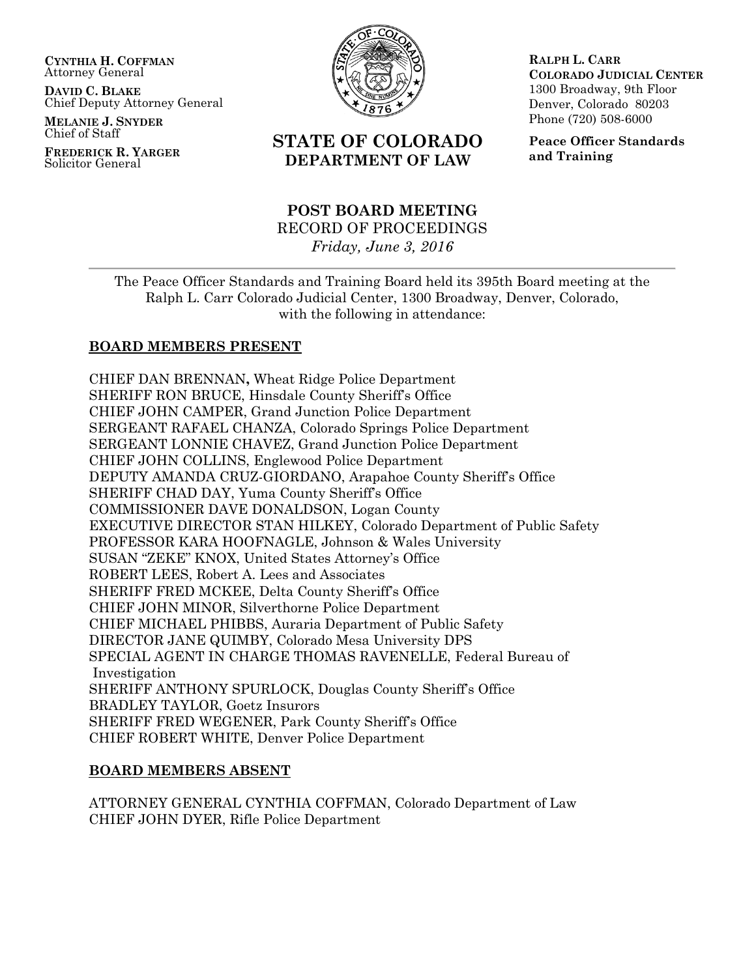**CYNTHIA H. COFFMAN** Attorney General

**DAVID C. BLAKE** Chief Deputy Attorney General

**MELANIE J. SNYDER** Chief of Staff

**FREDERICK R. YARGER** Solicitor General



# **STATE OF COLORADO DEPARTMENT OF LAW**

### **POST BOARD MEETING** RECORD OF PROCEEDINGS *Friday, June 3, 2016*

**RALPH L. CARR COLORADO JUDICIAL CENTER** 1300 Broadway, 9th Floor Denver, Colorado 80203 Phone (720) 508-6000

**Peace Officer Standards and Training**

The Peace Officer Standards and Training Board held its 395th Board meeting at the Ralph L. Carr Colorado Judicial Center, 1300 Broadway, Denver, Colorado, with the following in attendance:

### **BOARD MEMBERS PRESENT**

CHIEF DAN BRENNAN**,** Wheat Ridge Police Department SHERIFF RON BRUCE, Hinsdale County Sheriff's Office CHIEF JOHN CAMPER, Grand Junction Police Department SERGEANT RAFAEL CHANZA, Colorado Springs Police Department SERGEANT LONNIE CHAVEZ, Grand Junction Police Department CHIEF JOHN COLLINS, Englewood Police Department DEPUTY AMANDA CRUZ-GIORDANO, Arapahoe County Sheriff's Office SHERIFF CHAD DAY, Yuma County Sheriff's Office COMMISSIONER DAVE DONALDSON, Logan County EXECUTIVE DIRECTOR STAN HILKEY, Colorado Department of Public Safety PROFESSOR KARA HOOFNAGLE, Johnson & Wales University SUSAN "ZEKE" KNOX, United States Attorney's Office ROBERT LEES, Robert A. Lees and Associates SHERIFF FRED MCKEE, Delta County Sheriff's Office CHIEF JOHN MINOR, Silverthorne Police Department CHIEF MICHAEL PHIBBS, Auraria Department of Public Safety DIRECTOR JANE QUIMBY, Colorado Mesa University DPS SPECIAL AGENT IN CHARGE THOMAS RAVENELLE, Federal Bureau of Investigation SHERIFF ANTHONY SPURLOCK, Douglas County Sheriff's Office BRADLEY TAYLOR, Goetz Insurors SHERIFF FRED WEGENER, Park County Sheriff's Office CHIEF ROBERT WHITE, Denver Police Department

### **BOARD MEMBERS ABSENT**

ATTORNEY GENERAL CYNTHIA COFFMAN, Colorado Department of Law CHIEF JOHN DYER, Rifle Police Department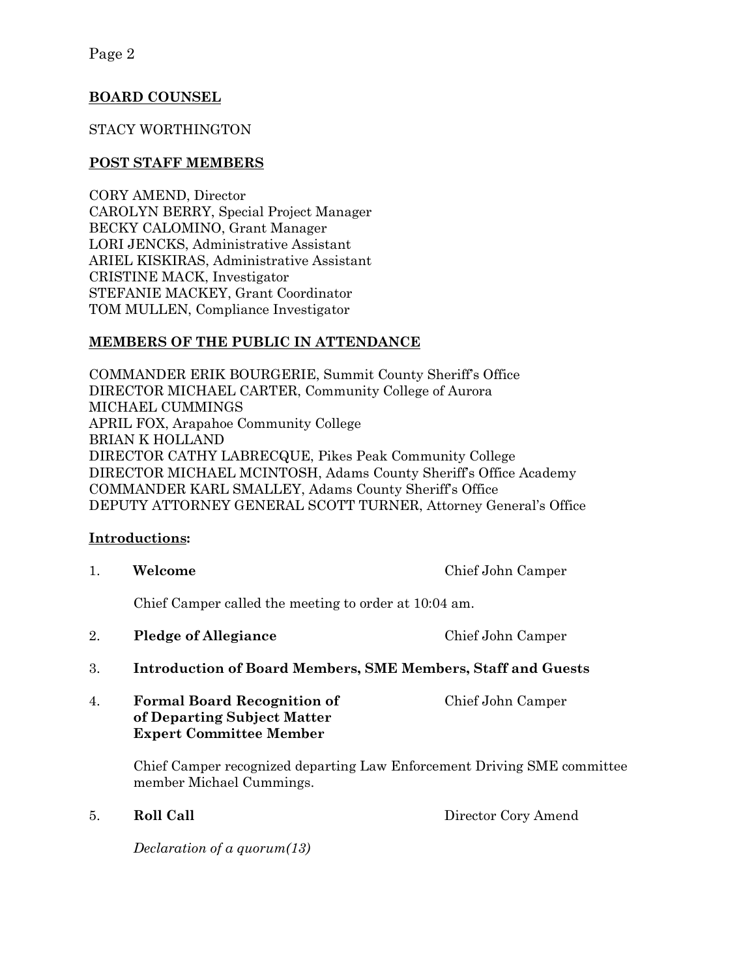### **BOARD COUNSEL**

### STACY WORTHINGTON

### **POST STAFF MEMBERS**

CORY AMEND, Director CAROLYN BERRY, Special Project Manager BECKY CALOMINO, Grant Manager LORI JENCKS, Administrative Assistant ARIEL KISKIRAS, Administrative Assistant CRISTINE MACK, Investigator STEFANIE MACKEY, Grant Coordinator TOM MULLEN, Compliance Investigator

### **MEMBERS OF THE PUBLIC IN ATTENDANCE**

COMMANDER ERIK BOURGERIE, Summit County Sheriff's Office DIRECTOR MICHAEL CARTER, Community College of Aurora MICHAEL CUMMINGS APRIL FOX, Arapahoe Community College BRIAN K HOLLAND DIRECTOR CATHY LABRECQUE, Pikes Peak Community College DIRECTOR MICHAEL MCINTOSH, Adams County Sheriff's Office Academy COMMANDER KARL SMALLEY, Adams County Sheriff's Office DEPUTY ATTORNEY GENERAL SCOTT TURNER, Attorney General's Office

### **Introductions:**

1. **Welcome** Chief John Camper

Chief Camper called the meeting to order at 10:04 am.

- 2. **Pledge of Allegiance** Chief John Camper
- 3. **Introduction of Board Members, SME Members, Staff and Guests**
- 4. **Formal Board Recognition of** Chief John Camper **of Departing Subject Matter Expert Committee Member**

Chief Camper recognized departing Law Enforcement Driving SME committee member Michael Cummings.

5. **Roll Call** Director Cory Amend

*Declaration of a quorum(13)*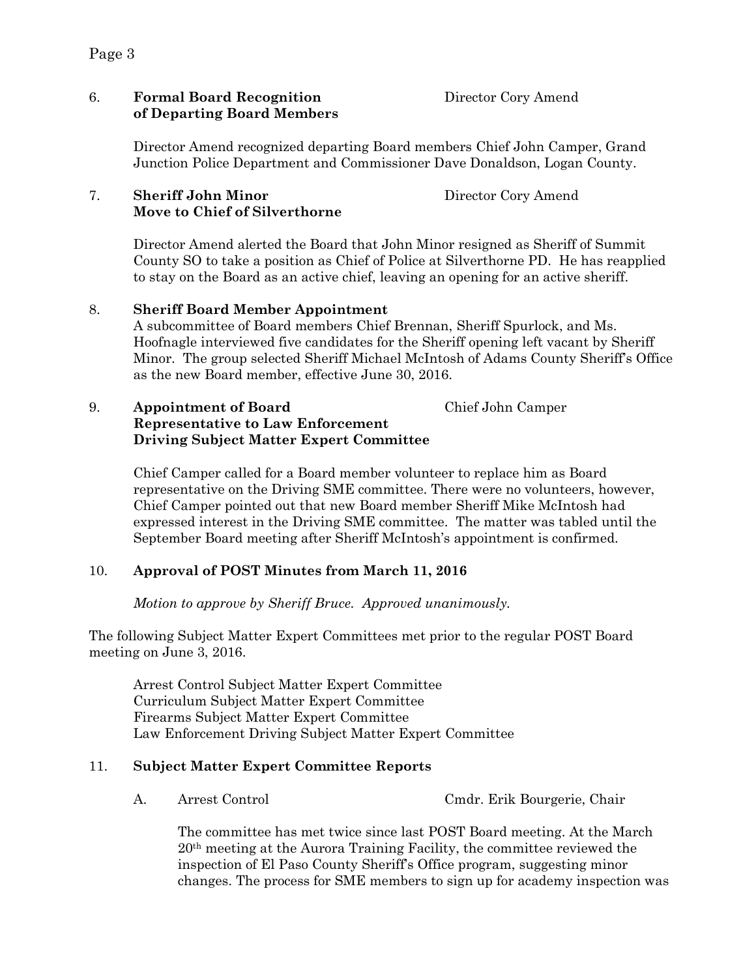### 6. **Formal Board Recognition** Director Cory Amend **of Departing Board Members**

Director Amend recognized departing Board members Chief John Camper, Grand Junction Police Department and Commissioner Dave Donaldson, Logan County.

#### 7. **Sheriff John Minor** Director Cory Amend  **Move to Chief of Silverthorne**

Director Amend alerted the Board that John Minor resigned as Sheriff of Summit County SO to take a position as Chief of Police at Silverthorne PD. He has reapplied to stay on the Board as an active chief, leaving an opening for an active sheriff.

### 8. **Sheriff Board Member Appointment**

A subcommittee of Board members Chief Brennan, Sheriff Spurlock, and Ms. Hoofnagle interviewed five candidates for the Sheriff opening left vacant by Sheriff Minor. The group selected Sheriff Michael McIntosh of Adams County Sheriff's Office as the new Board member, effective June 30, 2016.

#### 9. **Appointment of Board** Chief John Camper **Representative to Law Enforcement Driving Subject Matter Expert Committee**

Chief Camper called for a Board member volunteer to replace him as Board representative on the Driving SME committee. There were no volunteers, however, Chief Camper pointed out that new Board member Sheriff Mike McIntosh had expressed interest in the Driving SME committee. The matter was tabled until the September Board meeting after Sheriff McIntosh's appointment is confirmed.

# 10. **Approval of POST Minutes from March 11, 2016**

*Motion to approve by Sheriff Bruce. Approved unanimously.*

The following Subject Matter Expert Committees met prior to the regular POST Board meeting on June 3, 2016.

Arrest Control Subject Matter Expert Committee Curriculum Subject Matter Expert Committee Firearms Subject Matter Expert Committee Law Enforcement Driving Subject Matter Expert Committee

# 11. **Subject Matter Expert Committee Reports**

A. Arrest Control Cmdr. Erik Bourgerie, Chair

The committee has met twice since last POST Board meeting. At the March 20th meeting at the Aurora Training Facility, the committee reviewed the inspection of El Paso County Sheriff's Office program, suggesting minor changes. The process for SME members to sign up for academy inspection was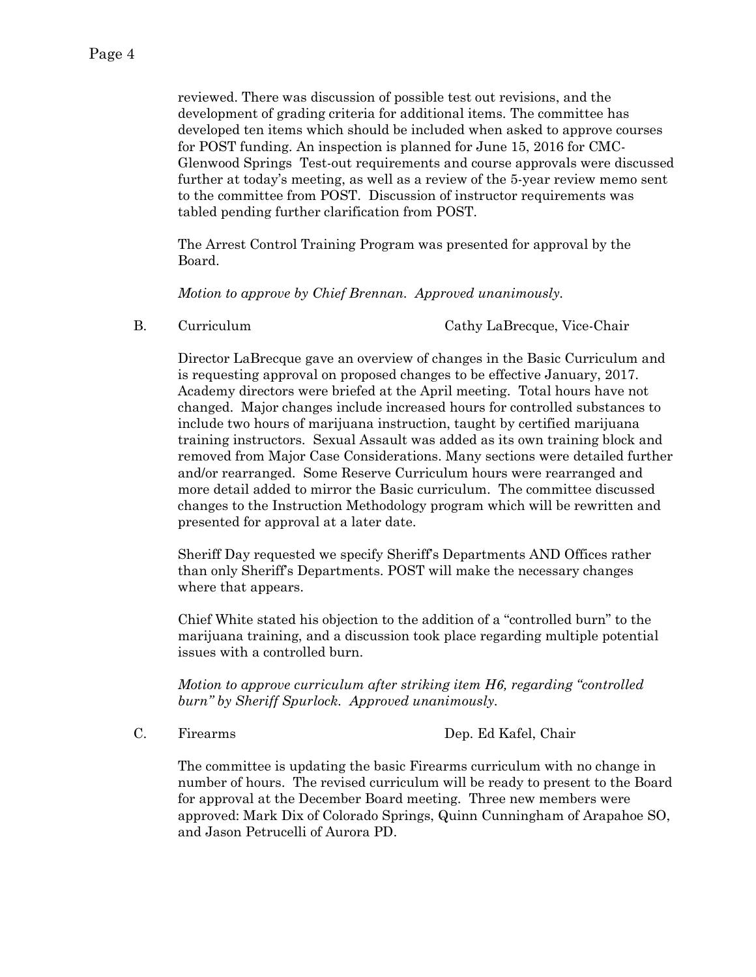reviewed. There was discussion of possible test out revisions, and the development of grading criteria for additional items. The committee has developed ten items which should be included when asked to approve courses for POST funding. An inspection is planned for June 15, 2016 for CMC-Glenwood Springs Test-out requirements and course approvals were discussed further at today's meeting, as well as a review of the 5-year review memo sent to the committee from POST. Discussion of instructor requirements was tabled pending further clarification from POST.

The Arrest Control Training Program was presented for approval by the Board.

*Motion to approve by Chief Brennan. Approved unanimously.*

B. Curriculum Cathy LaBrecque, Vice-Chair

Director LaBrecque gave an overview of changes in the Basic Curriculum and is requesting approval on proposed changes to be effective January, 2017. Academy directors were briefed at the April meeting. Total hours have not changed. Major changes include increased hours for controlled substances to include two hours of marijuana instruction, taught by certified marijuana training instructors. Sexual Assault was added as its own training block and removed from Major Case Considerations. Many sections were detailed further and/or rearranged. Some Reserve Curriculum hours were rearranged and more detail added to mirror the Basic curriculum. The committee discussed changes to the Instruction Methodology program which will be rewritten and presented for approval at a later date.

Sheriff Day requested we specify Sheriff's Departments AND Offices rather than only Sheriff's Departments. POST will make the necessary changes where that appears.

Chief White stated his objection to the addition of a "controlled burn" to the marijuana training, and a discussion took place regarding multiple potential issues with a controlled burn.

*Motion to approve curriculum after striking item H6, regarding "controlled burn" by Sheriff Spurlock. Approved unanimously.*

C. Firearms Dep. Ed Kafel, Chair

The committee is updating the basic Firearms curriculum with no change in number of hours. The revised curriculum will be ready to present to the Board for approval at the December Board meeting. Three new members were approved: Mark Dix of Colorado Springs, Quinn Cunningham of Arapahoe SO, and Jason Petrucelli of Aurora PD.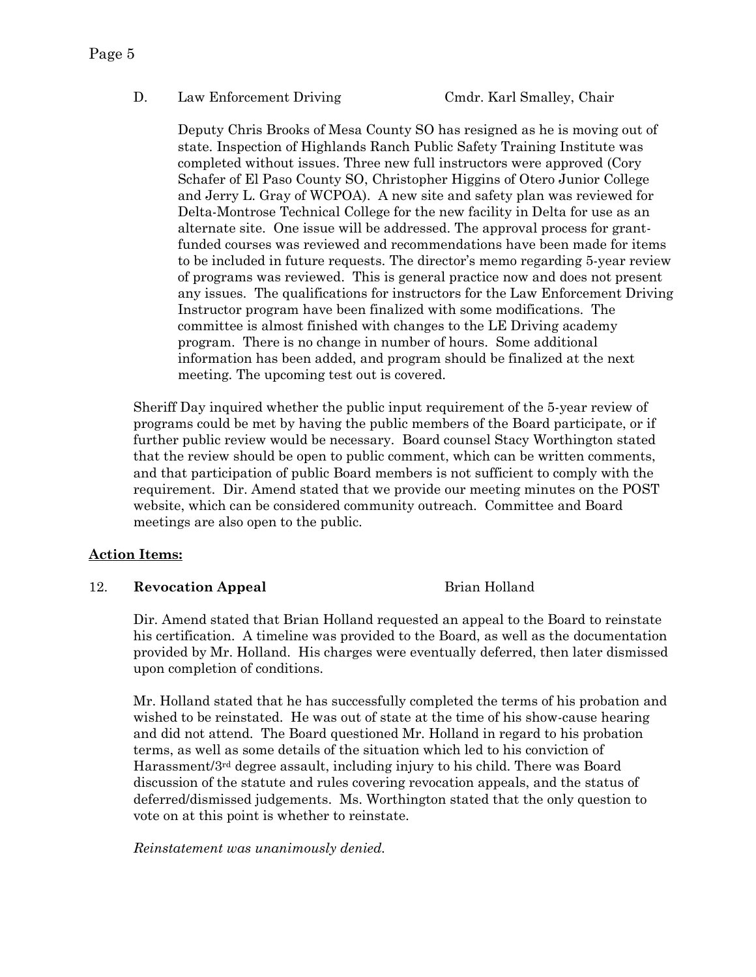#### D. Law Enforcement Driving Cmdr. Karl Smalley, Chair

Deputy Chris Brooks of Mesa County SO has resigned as he is moving out of state. Inspection of Highlands Ranch Public Safety Training Institute was completed without issues. Three new full instructors were approved (Cory Schafer of El Paso County SO, Christopher Higgins of Otero Junior College and Jerry L. Gray of WCPOA). A new site and safety plan was reviewed for Delta-Montrose Technical College for the new facility in Delta for use as an alternate site. One issue will be addressed. The approval process for grantfunded courses was reviewed and recommendations have been made for items to be included in future requests. The director's memo regarding 5-year review of programs was reviewed. This is general practice now and does not present any issues. The qualifications for instructors for the Law Enforcement Driving Instructor program have been finalized with some modifications. The committee is almost finished with changes to the LE Driving academy program. There is no change in number of hours. Some additional information has been added, and program should be finalized at the next meeting. The upcoming test out is covered.

Sheriff Day inquired whether the public input requirement of the 5-year review of programs could be met by having the public members of the Board participate, or if further public review would be necessary. Board counsel Stacy Worthington stated that the review should be open to public comment, which can be written comments, and that participation of public Board members is not sufficient to comply with the requirement. Dir. Amend stated that we provide our meeting minutes on the POST website, which can be considered community outreach. Committee and Board meetings are also open to the public.

#### **Action Items:**

#### 12. **Revocation Appeal Brian Holland**

Dir. Amend stated that Brian Holland requested an appeal to the Board to reinstate his certification. A timeline was provided to the Board, as well as the documentation provided by Mr. Holland. His charges were eventually deferred, then later dismissed upon completion of conditions.

Mr. Holland stated that he has successfully completed the terms of his probation and wished to be reinstated. He was out of state at the time of his show-cause hearing and did not attend. The Board questioned Mr. Holland in regard to his probation terms, as well as some details of the situation which led to his conviction of Harassment/3rd degree assault, including injury to his child. There was Board discussion of the statute and rules covering revocation appeals, and the status of deferred/dismissed judgements. Ms. Worthington stated that the only question to vote on at this point is whether to reinstate.

*Reinstatement was unanimously denied.*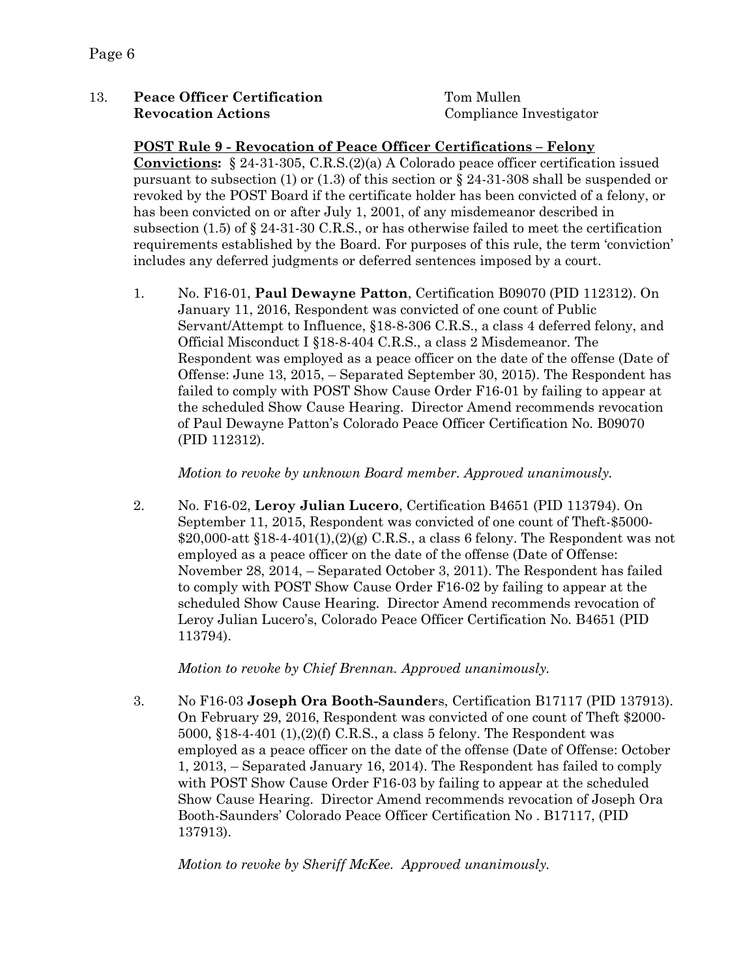### 13. **Peace Officer Certification** Tom Mullen **Revocation Actions** Compliance Investigator

#### **POST Rule 9 - Revocation of Peace Officer Certifications – Felony**

**Convictions:** § 24-31-305, C.R.S.(2)(a) A Colorado peace officer certification issued pursuant to subsection (1) or (1.3) of this section or  $\S 24-31-308$  shall be suspended or revoked by the POST Board if the certificate holder has been convicted of a felony, or has been convicted on or after July 1, 2001, of any misdemeanor described in subsection  $(1.5)$  of  $\S 24-31-30$  C.R.S., or has otherwise failed to meet the certification requirements established by the Board. For purposes of this rule, the term 'conviction' includes any deferred judgments or deferred sentences imposed by a court.

1. No. F16-01, **Paul Dewayne Patton**, Certification B09070 (PID 112312). On January 11, 2016, Respondent was convicted of one count of Public Servant/Attempt to Influence, §18-8-306 C.R.S., a class 4 deferred felony, and Official Misconduct I §18-8-404 C.R.S., a class 2 Misdemeanor. The Respondent was employed as a peace officer on the date of the offense (Date of Offense: June 13, 2015, – Separated September 30, 2015). The Respondent has failed to comply with POST Show Cause Order F16-01 by failing to appear at the scheduled Show Cause Hearing. Director Amend recommends revocation of Paul Dewayne Patton's Colorado Peace Officer Certification No. B09070 (PID 112312).

*Motion to revoke by unknown Board member. Approved unanimously.*

2. No. F16-02, **Leroy Julian Lucero**, Certification B4651 (PID 113794). On September 11, 2015, Respondent was convicted of one count of Theft-\$5000-  $$20,000\text{-}att \$18-4-401(1), (2)(g) C.R.S., a class 6 fellow. The Respondent was not$ employed as a peace officer on the date of the offense (Date of Offense: November 28, 2014, – Separated October 3, 2011). The Respondent has failed to comply with POST Show Cause Order F16-02 by failing to appear at the scheduled Show Cause Hearing. Director Amend recommends revocation of Leroy Julian Lucero's, Colorado Peace Officer Certification No. B4651 (PID 113794).

*Motion to revoke by Chief Brennan. Approved unanimously.*

3. No F16-03 **Joseph Ora Booth-Saunder**s, Certification B17117 (PID 137913). On February 29, 2016, Respondent was convicted of one count of Theft \$2000- 5000, §18-4-401 (1),(2)(f) C.R.S., a class 5 felony. The Respondent was employed as a peace officer on the date of the offense (Date of Offense: October 1, 2013, – Separated January 16, 2014). The Respondent has failed to comply with POST Show Cause Order F16-03 by failing to appear at the scheduled Show Cause Hearing. Director Amend recommends revocation of Joseph Ora Booth-Saunders' Colorado Peace Officer Certification No . B17117, (PID 137913).

*Motion to revoke by Sheriff McKee. Approved unanimously.*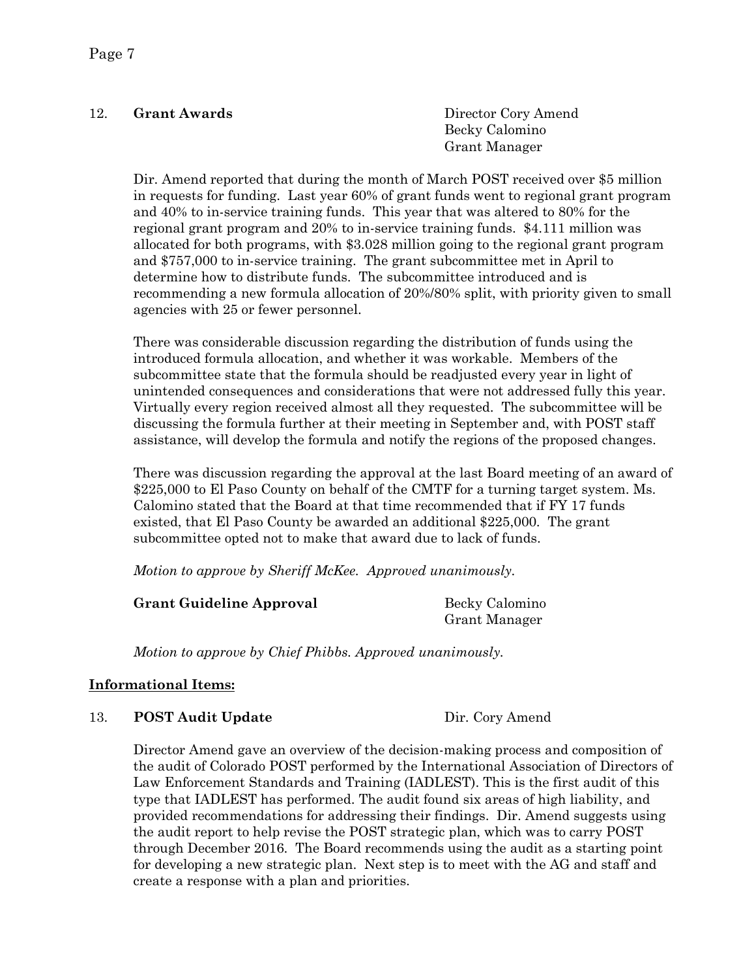### 12. **Grant Awards** Director Cory Amend

Becky Calomino Grant Manager

Dir. Amend reported that during the month of March POST received over \$5 million in requests for funding. Last year 60% of grant funds went to regional grant program and 40% to in-service training funds. This year that was altered to 80% for the regional grant program and 20% to in-service training funds. \$4.111 million was allocated for both programs, with \$3.028 million going to the regional grant program and \$757,000 to in-service training. The grant subcommittee met in April to determine how to distribute funds. The subcommittee introduced and is recommending a new formula allocation of 20%/80% split, with priority given to small agencies with 25 or fewer personnel.

There was considerable discussion regarding the distribution of funds using the introduced formula allocation, and whether it was workable. Members of the subcommittee state that the formula should be readjusted every year in light of unintended consequences and considerations that were not addressed fully this year. Virtually every region received almost all they requested. The subcommittee will be discussing the formula further at their meeting in September and, with POST staff assistance, will develop the formula and notify the regions of the proposed changes.

There was discussion regarding the approval at the last Board meeting of an award of \$225,000 to El Paso County on behalf of the CMTF for a turning target system. Ms. Calomino stated that the Board at that time recommended that if FY 17 funds existed, that El Paso County be awarded an additional \$225,000. The grant subcommittee opted not to make that award due to lack of funds.

*Motion to approve by Sheriff McKee. Approved unanimously.*

#### **Grant Guideline Approval** Becky Calomino

Grant Manager

*Motion to approve by Chief Phibbs. Approved unanimously.*

### **Informational Items:**

#### 13. **POST Audit Update** Dir. Cory Amend

Director Amend gave an overview of the decision-making process and composition of the audit of Colorado POST performed by the International Association of Directors of Law Enforcement Standards and Training (IADLEST). This is the first audit of this type that IADLEST has performed. The audit found six areas of high liability, and provided recommendations for addressing their findings. Dir. Amend suggests using the audit report to help revise the POST strategic plan, which was to carry POST through December 2016. The Board recommends using the audit as a starting point for developing a new strategic plan. Next step is to meet with the AG and staff and create a response with a plan and priorities.